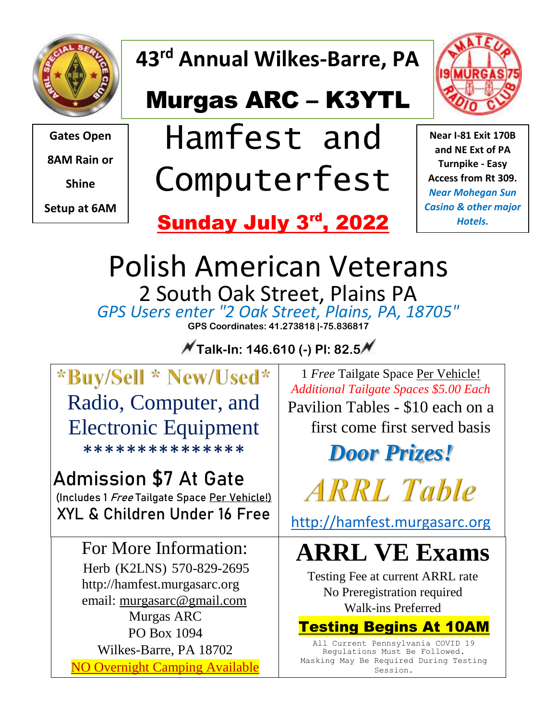

**43rd Annual Wilkes-Barre, PA**

### Murgas ARC – K3YTL



**Gates Open**

**8AM Rain or**

**Shine**

**Setup at 6AM**

## Hamfest and Computerfest

**Near I-81 Exit 170B and NE Ext of PA Turnpike - Easy Access from Rt 309.**  *Near Mohegan Sun Casino & other major Hotels.*

# Sunday July 3rd, 2022

Polish American Veterans 2 South Oak Street, Plains PA *GPS Users enter "2 Oak Street, Plains, PA, 18705"* **GPS Coordinates: 41.273818 |-75.836817**

**Talk-In: 146.610 (-) Pl: 82.5**

\*Buy/Sell \* New/Used\* Radio, Computer, and Electronic Equipment \*\*\*\*\*\*\*\*\*\*\*\*\*\*\*

**Admission \$7 At Gate**

**(Includes 1 Free Tailgate Space Per Vehicle!) XYL & Children Under 16 Free**

For More Information: Herb (K2LNS) 570-829-2695 http://hamfest.murgasarc.org email: murgasarc@gmail.com Murgas ARC PO Box 1094 Wilkes-Barre, PA 18702 NO Overnight Camping Available

1 *Free* Tailgate Space Per Vehicle! *Additional Tailgate Spaces \$5.00 Each* Pavilion Tables - \$10 each on a first come first served basis

### *Door Prizes!*

**ARRL** Table

[http://hamfest.murgasarc.org](http://hamfest.murgasarc.org/)

### **ARRL VE Exams**

Testing Fee at current ARRL rate No Preregistration required Walk-ins Preferred

#### Testing Begins At 10AM

All Current Pennsylvania COVID 19 Regulations Must Be Followed. Masking May Be Required During Testing Session.